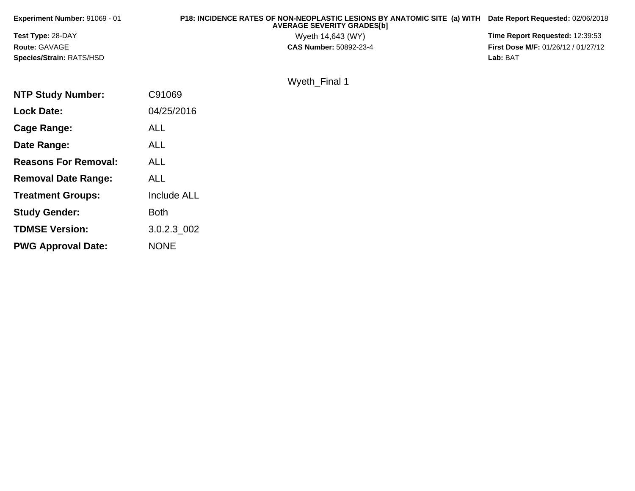| Experiment Number: 91069 - 01 | P18: INCIDENCE RATES OF NON-NEOPLASTIC LESIONS BY ANATOMIC SITE (a) WITH<br><b>AVERAGE SEVERITY GRADES[b]</b> | Date Report Requested: 02/06/2018   |
|-------------------------------|---------------------------------------------------------------------------------------------------------------|-------------------------------------|
| Test Type: 28-DAY             | Wyeth 14,643 (WY)                                                                                             | Time Report Requested: 12:39:53     |
| <b>Route: GAVAGE</b>          | <b>CAS Number: 50892-23-4</b>                                                                                 | First Dose M/F: 01/26/12 / 01/27/12 |
| Species/Strain: RATS/HSD      |                                                                                                               | Lab: BAT                            |
|                               | Wyeth_Final 1                                                                                                 |                                     |
| <b>NTP Study Number:</b>      | C91069                                                                                                        |                                     |
| <b>Lock Date:</b>             | 04/25/2016                                                                                                    |                                     |
| Cage Range:                   | <b>ALL</b>                                                                                                    |                                     |
| Date Range:                   | <b>ALL</b>                                                                                                    |                                     |
| <b>Reasons For Removal:</b>   | <b>ALL</b>                                                                                                    |                                     |
| <b>Removal Date Range:</b>    | <b>ALL</b>                                                                                                    |                                     |

**Treatment Groups:**

**Study Gender:**

**TDMSE Version:**

**PWG Approval Date:**

Include ALL

3.0.2.3\_002

Both

NONE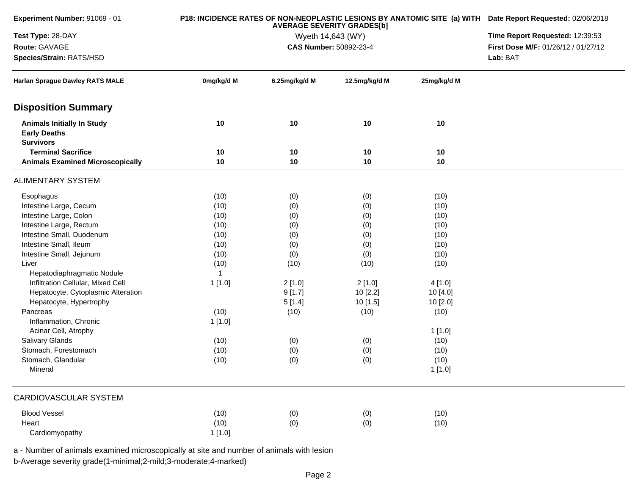| Experiment Number: 91069 - 01                                                |              | P18: INCIDENCE RATES OF NON-NEOPLASTIC LESIONS BY ANATOMIC SITE (a) WITH Date Report Requested: 02/06/2018<br>Time Report Requested: 12:39:53 |                                             |             |                                     |  |
|------------------------------------------------------------------------------|--------------|-----------------------------------------------------------------------------------------------------------------------------------------------|---------------------------------------------|-------------|-------------------------------------|--|
| Test Type: 28-DAY                                                            |              |                                                                                                                                               |                                             |             |                                     |  |
| Route: GAVAGE                                                                |              |                                                                                                                                               | Wyeth 14,643 (WY)<br>CAS Number: 50892-23-4 |             | First Dose M/F: 01/26/12 / 01/27/12 |  |
| Species/Strain: RATS/HSD                                                     |              |                                                                                                                                               |                                             |             |                                     |  |
| <b>Harlan Sprague Dawley RATS MALE</b>                                       | 0mg/kg/d M   | 6.25mg/kg/d M                                                                                                                                 | 12.5mg/kg/d M                               | 25mg/kg/d M |                                     |  |
| <b>Disposition Summary</b>                                                   |              |                                                                                                                                               |                                             |             |                                     |  |
| <b>Animals Initially In Study</b><br><b>Early Deaths</b><br><b>Survivors</b> | 10           | 10                                                                                                                                            | 10                                          | 10          |                                     |  |
| <b>Terminal Sacrifice</b>                                                    | 10           | 10                                                                                                                                            | 10                                          | 10          |                                     |  |
| <b>Animals Examined Microscopically</b>                                      | 10           | 10                                                                                                                                            | 10                                          | 10          |                                     |  |
| <b>ALIMENTARY SYSTEM</b>                                                     |              |                                                                                                                                               |                                             |             |                                     |  |
| Esophagus                                                                    | (10)         | (0)                                                                                                                                           | (0)                                         | (10)        |                                     |  |
| Intestine Large, Cecum                                                       | (10)         | (0)                                                                                                                                           | (0)                                         | (10)        |                                     |  |
| Intestine Large, Colon                                                       | (10)         | (0)                                                                                                                                           | (0)                                         | (10)        |                                     |  |
| Intestine Large, Rectum                                                      | (10)         | (0)                                                                                                                                           | (0)                                         | (10)        |                                     |  |
| Intestine Small, Duodenum                                                    | (10)         | (0)                                                                                                                                           | (0)                                         | (10)        |                                     |  |
| Intestine Small, Ileum                                                       | (10)         | (0)                                                                                                                                           | (0)                                         | (10)        |                                     |  |
| Intestine Small, Jejunum                                                     | (10)         | (0)                                                                                                                                           | (0)                                         | (10)        |                                     |  |
| Liver                                                                        | (10)         | (10)                                                                                                                                          | (10)                                        | (10)        |                                     |  |
| Hepatodiaphragmatic Nodule                                                   | $\mathbf{1}$ |                                                                                                                                               |                                             |             |                                     |  |
| Infiltration Cellular, Mixed Cell                                            | 1 [1.0]      | 2[1.0]                                                                                                                                        | 2[1.0]                                      | 4[1.0]      |                                     |  |
| Hepatocyte, Cytoplasmic Alteration                                           |              | 9[1.7]                                                                                                                                        | 10 [2.2]                                    | 10 [4.0]    |                                     |  |
| Hepatocyte, Hypertrophy                                                      |              | 5[1.4]                                                                                                                                        | 10 [1.5]                                    | 10 [2.0]    |                                     |  |
| Pancreas                                                                     | (10)         | (10)                                                                                                                                          | (10)                                        | (10)        |                                     |  |
| Inflammation, Chronic                                                        | 1 [1.0]      |                                                                                                                                               |                                             |             |                                     |  |
| Acinar Cell, Atrophy                                                         |              |                                                                                                                                               |                                             | 1[1.0]      |                                     |  |
| Salivary Glands                                                              | (10)         | (0)                                                                                                                                           | (0)                                         | (10)        |                                     |  |
| Stomach, Forestomach                                                         | (10)         | (0)                                                                                                                                           | (0)                                         | (10)        |                                     |  |
| Stomach, Glandular                                                           | (10)         | (0)                                                                                                                                           | (0)                                         | (10)        |                                     |  |
| Mineral                                                                      |              |                                                                                                                                               |                                             | 1 [1.0]     |                                     |  |
| <b>CARDIOVASCULAR SYSTEM</b>                                                 |              |                                                                                                                                               |                                             |             |                                     |  |
| <b>Blood Vessel</b>                                                          | (10)         | (0)                                                                                                                                           | (0)                                         | (10)        |                                     |  |
| Heart                                                                        | (10)         | (0)                                                                                                                                           | (0)                                         | (10)        |                                     |  |
| Cardiomyopathy                                                               | 1[1.0]       |                                                                                                                                               |                                             |             |                                     |  |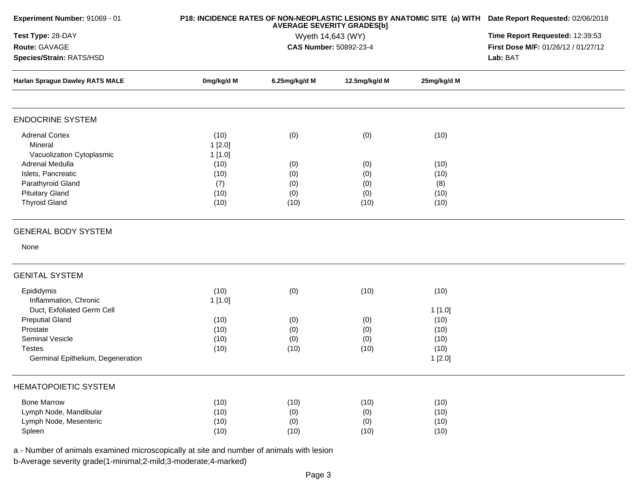|                          | Time Report Requested: 12:39:53      |                                          |                                                                                                                              |                                                                                                                                                                     |
|--------------------------|--------------------------------------|------------------------------------------|------------------------------------------------------------------------------------------------------------------------------|---------------------------------------------------------------------------------------------------------------------------------------------------------------------|
|                          |                                      |                                          |                                                                                                                              | First Dose M/F: 01/26/12 / 01/27/12                                                                                                                                 |
|                          |                                      |                                          |                                                                                                                              | Lab: BAT                                                                                                                                                            |
| 0mg/kg/d M               | 6.25mg/kg/d M                        | 12.5mg/kg/d M                            | 25mg/kg/d M                                                                                                                  |                                                                                                                                                                     |
|                          |                                      |                                          |                                                                                                                              |                                                                                                                                                                     |
| (10)<br>1[2.0]<br>1[1.0] | (0)                                  | (0)                                      | (10)                                                                                                                         |                                                                                                                                                                     |
| (10)<br>(10)<br>(7)      | (0)<br>(0)                           | (0)<br>(0)                               | (10)<br>(10)                                                                                                                 |                                                                                                                                                                     |
| (10)<br>(10)             | (0)<br>(10)                          | (0)<br>(10)                              | (10)<br>(10)                                                                                                                 |                                                                                                                                                                     |
|                          |                                      |                                          |                                                                                                                              |                                                                                                                                                                     |
|                          |                                      |                                          |                                                                                                                              |                                                                                                                                                                     |
|                          |                                      |                                          |                                                                                                                              |                                                                                                                                                                     |
| (10)<br>1[1.0]           | (0)                                  | (10)                                     | (10)                                                                                                                         |                                                                                                                                                                     |
| (10)                     | (0)                                  | (0)                                      | (10)                                                                                                                         |                                                                                                                                                                     |
| (10)                     | (0)                                  | (0)                                      | (10)                                                                                                                         |                                                                                                                                                                     |
|                          |                                      |                                          | 1[2.0]                                                                                                                       |                                                                                                                                                                     |
|                          |                                      |                                          |                                                                                                                              |                                                                                                                                                                     |
| (10)                     | (10)                                 | (10)                                     | (10)                                                                                                                         |                                                                                                                                                                     |
|                          |                                      |                                          |                                                                                                                              |                                                                                                                                                                     |
|                          |                                      |                                          |                                                                                                                              |                                                                                                                                                                     |
|                          | (10)<br>(10)<br>(10)<br>(10)<br>(10) | (0)<br>(0)<br>(10)<br>(0)<br>(0)<br>(10) | <b>AVERAGE SEVERITY GRADES[b]</b><br>Wyeth 14,643 (WY)<br>CAS Number: 50892-23-4<br>(0)<br>(0)<br>(10)<br>(0)<br>(0)<br>(10) | P18: INCIDENCE RATES OF NON-NEOPLASTIC LESIONS BY ANATOMIC SITE (a) WITH Date Report Requested: 02/06/2018<br>(8)<br>1[1.0]<br>(10)<br>(10)<br>(10)<br>(10)<br>(10) |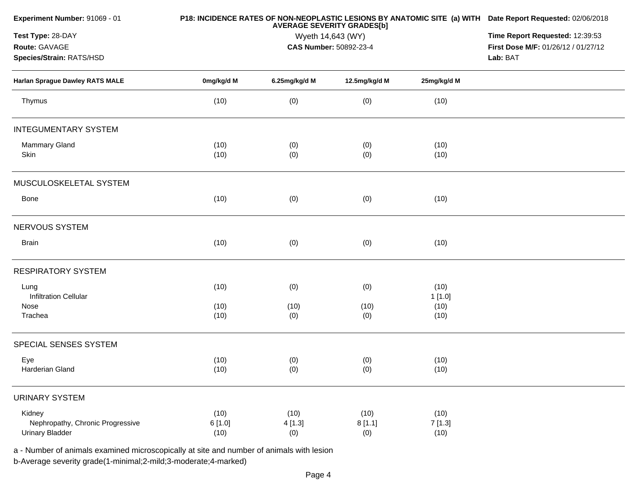| Experiment Number: 91069 - 01    |            | P18: INCIDENCE RATES OF NON-NEOPLASTIC LESIONS BY ANATOMIC SITE (a) WITH Date Report Requested: 02/06/2018<br>Time Report Requested: 12:39:53 |                        |             |                                     |  |  |
|----------------------------------|------------|-----------------------------------------------------------------------------------------------------------------------------------------------|------------------------|-------------|-------------------------------------|--|--|
| Test Type: 28-DAY                |            |                                                                                                                                               |                        |             |                                     |  |  |
| Route: GAVAGE                    |            |                                                                                                                                               | CAS Number: 50892-23-4 |             | First Dose M/F: 01/26/12 / 01/27/12 |  |  |
| Species/Strain: RATS/HSD         |            |                                                                                                                                               |                        |             |                                     |  |  |
| Harlan Sprague Dawley RATS MALE  | 0mg/kg/d M | 6.25mg/kg/d M                                                                                                                                 | 12.5mg/kg/d M          | 25mg/kg/d M |                                     |  |  |
| Thymus                           | (10)       | (0)                                                                                                                                           | (0)                    | (10)        |                                     |  |  |
| <b>INTEGUMENTARY SYSTEM</b>      |            |                                                                                                                                               |                        |             |                                     |  |  |
| Mammary Gland                    | (10)       | (0)                                                                                                                                           | (0)                    | (10)        |                                     |  |  |
| Skin                             | (10)       | (0)                                                                                                                                           | (0)                    | (10)        |                                     |  |  |
| MUSCULOSKELETAL SYSTEM           |            |                                                                                                                                               |                        |             |                                     |  |  |
| Bone                             | (10)       | (0)                                                                                                                                           | (0)                    | (10)        |                                     |  |  |
| NERVOUS SYSTEM                   |            |                                                                                                                                               |                        |             |                                     |  |  |
| <b>Brain</b>                     | (10)       | (0)                                                                                                                                           | (0)                    | (10)        |                                     |  |  |
| <b>RESPIRATORY SYSTEM</b>        |            |                                                                                                                                               |                        |             |                                     |  |  |
| Lung                             | (10)       | (0)                                                                                                                                           | (0)                    | (10)        |                                     |  |  |
| <b>Infiltration Cellular</b>     |            |                                                                                                                                               |                        | 1[1.0]      |                                     |  |  |
| Nose                             | (10)       | (10)                                                                                                                                          | (10)                   | (10)        |                                     |  |  |
| Trachea                          | (10)       | (0)                                                                                                                                           | (0)                    | (10)        |                                     |  |  |
| SPECIAL SENSES SYSTEM            |            |                                                                                                                                               |                        |             |                                     |  |  |
| Eye                              | (10)       | (0)                                                                                                                                           | (0)                    | (10)        |                                     |  |  |
| Harderian Gland                  | (10)       | (0)                                                                                                                                           | (0)                    | (10)        |                                     |  |  |
| <b>URINARY SYSTEM</b>            |            |                                                                                                                                               |                        |             |                                     |  |  |
| Kidney                           | (10)       | (10)                                                                                                                                          | (10)                   | (10)        |                                     |  |  |
| Nephropathy, Chronic Progressive | 6[1.0]     | 4[1.3]                                                                                                                                        | 8[1.1]                 | 7[1.3]      |                                     |  |  |
| <b>Urinary Bladder</b>           | (10)       | (0)                                                                                                                                           | (0)                    | (10)        |                                     |  |  |
|                                  |            |                                                                                                                                               |                        |             |                                     |  |  |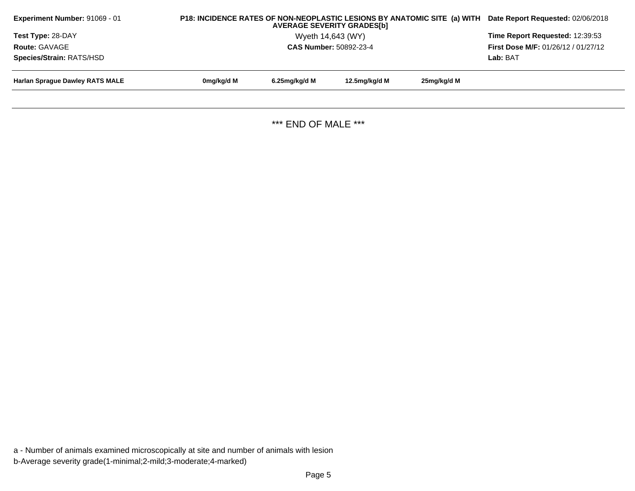| <b>Experiment Number: 91069 - 01</b>   | P18: INCIDENCE RATES OF NON-NEOPLASTIC LESIONS BY ANATOMIC SITE (a) WITH<br><b>AVERAGE SEVERITY GRADES[b]</b> |               |                   | Date Report Requested: 02/06/2018 |                                 |
|----------------------------------------|---------------------------------------------------------------------------------------------------------------|---------------|-------------------|-----------------------------------|---------------------------------|
| <b>Test Type: 28-DAY</b>               |                                                                                                               |               | Wyeth 14,643 (WY) |                                   | Time Report Requested: 12:39:53 |
| Route: GAVAGE                          | <b>First Dose M/F: 01/26/12 / 01/27/12</b>                                                                    |               |                   |                                   |                                 |
| <b>Species/Strain: RATS/HSD</b>        |                                                                                                               |               |                   |                                   |                                 |
| <b>Harlan Spraque Dawley RATS MALE</b> | 0mg/kg/d M                                                                                                    | 6.25mg/kg/d M | 12.5mg/kg/d M     | 25mg/kg/d M                       |                                 |
|                                        |                                                                                                               |               |                   |                                   |                                 |

\*\*\* END OF MALE \*\*\*

a - Number of animals examined microscopically at site and number of animals with lesionb-Average severity grade(1-minimal;2-mild;3-moderate;4-marked)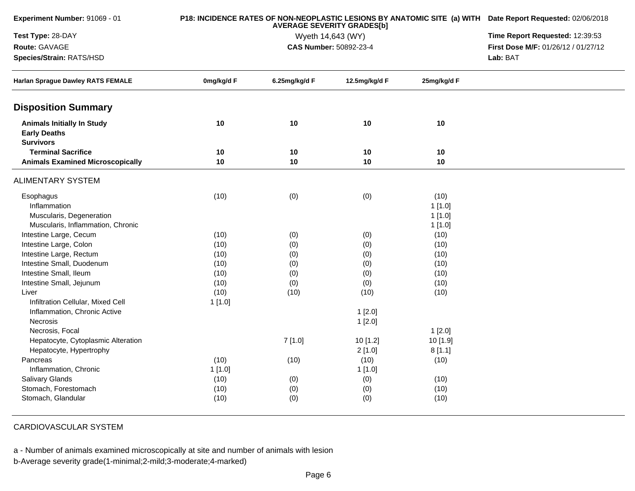| <b>Experiment Number: 91069 - 01</b>                                         |            | P18: INCIDENCE RATES OF NON-NEOPLASTIC LESIONS BY ANATOMIC SITE (a) WITH Date Report Requested: 02/06/2018<br>Time Report Requested: 12:39:53 |                                             |             |                                     |
|------------------------------------------------------------------------------|------------|-----------------------------------------------------------------------------------------------------------------------------------------------|---------------------------------------------|-------------|-------------------------------------|
| Test Type: 28-DAY                                                            |            |                                                                                                                                               |                                             |             |                                     |
| Route: GAVAGE                                                                |            |                                                                                                                                               | Wyeth 14,643 (WY)<br>CAS Number: 50892-23-4 |             | First Dose M/F: 01/26/12 / 01/27/12 |
| Species/Strain: RATS/HSD                                                     |            |                                                                                                                                               |                                             |             | Lab: BAT                            |
| <b>Harlan Sprague Dawley RATS FEMALE</b>                                     | 0mg/kg/d F | 6.25mg/kg/d F                                                                                                                                 | 12.5mg/kg/d F                               | 25mg/kg/d F |                                     |
| <b>Disposition Summary</b>                                                   |            |                                                                                                                                               |                                             |             |                                     |
| <b>Animals Initially In Study</b><br><b>Early Deaths</b><br><b>Survivors</b> | 10         | 10                                                                                                                                            | 10                                          | 10          |                                     |
| <b>Terminal Sacrifice</b>                                                    | 10         | 10                                                                                                                                            | 10                                          | 10          |                                     |
| <b>Animals Examined Microscopically</b>                                      | 10         | 10                                                                                                                                            | 10                                          | 10          |                                     |
| <b>ALIMENTARY SYSTEM</b>                                                     |            |                                                                                                                                               |                                             |             |                                     |
| Esophagus                                                                    | (10)       | (0)                                                                                                                                           | (0)                                         | (10)        |                                     |
| Inflammation                                                                 |            |                                                                                                                                               |                                             | 1[1.0]      |                                     |
| Muscularis, Degeneration                                                     |            |                                                                                                                                               |                                             | 1[1.0]      |                                     |
| Muscularis, Inflammation, Chronic                                            |            |                                                                                                                                               |                                             | 1[1.0]      |                                     |
| Intestine Large, Cecum                                                       | (10)       | (0)                                                                                                                                           | (0)                                         | (10)        |                                     |
| Intestine Large, Colon                                                       | (10)       | (0)                                                                                                                                           | (0)                                         | (10)        |                                     |
| Intestine Large, Rectum                                                      | (10)       | (0)                                                                                                                                           | (0)                                         | (10)        |                                     |
| Intestine Small, Duodenum                                                    | (10)       | (0)                                                                                                                                           | (0)                                         | (10)        |                                     |
| Intestine Small, Ileum                                                       | (10)       | (0)                                                                                                                                           | (0)                                         | (10)        |                                     |
| Intestine Small, Jejunum                                                     | (10)       | (0)                                                                                                                                           | (0)                                         | (10)        |                                     |
| Liver                                                                        | (10)       | (10)                                                                                                                                          | (10)                                        | (10)        |                                     |
| Infiltration Cellular, Mixed Cell                                            | 1[1.0]     |                                                                                                                                               |                                             |             |                                     |
| Inflammation, Chronic Active                                                 |            |                                                                                                                                               | 1[2.0]                                      |             |                                     |
| Necrosis                                                                     |            |                                                                                                                                               | 1[2.0]                                      |             |                                     |
| Necrosis, Focal                                                              |            |                                                                                                                                               |                                             | 1[2.0]      |                                     |
| Hepatocyte, Cytoplasmic Alteration                                           |            | 7[1.0]                                                                                                                                        | 10 [1.2]                                    | 10 [1.9]    |                                     |
| Hepatocyte, Hypertrophy                                                      |            |                                                                                                                                               | 2[1.0]                                      | 8[1.1]      |                                     |
| Pancreas                                                                     | (10)       | (10)                                                                                                                                          | (10)                                        | (10)        |                                     |
| Inflammation, Chronic                                                        | 1[1.0]     |                                                                                                                                               | 1[1.0]                                      |             |                                     |
| <b>Salivary Glands</b>                                                       | (10)       | (0)                                                                                                                                           | (0)                                         | (10)        |                                     |
| Stomach, Forestomach                                                         | (10)       | (0)                                                                                                                                           | (0)                                         | (10)        |                                     |
| Stomach, Glandular                                                           | (10)       | (0)                                                                                                                                           | (0)                                         | (10)        |                                     |

CARDIOVASCULAR SYSTEM

**Experiment Number:** 91069 - 01

a - Number of animals examined microscopically at site and number of animals with lesion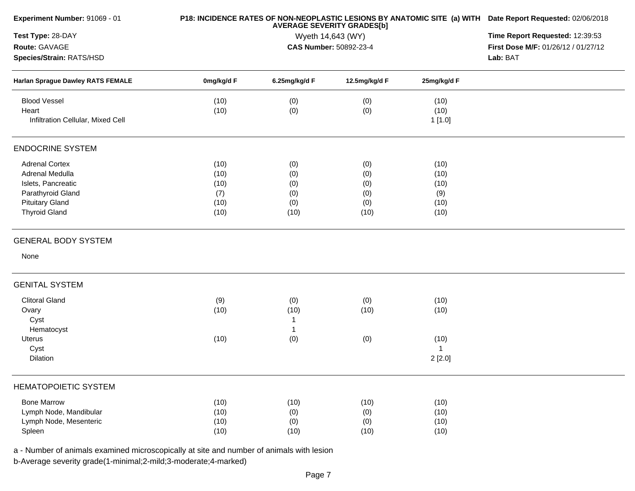| Experiment Number: 91069 - 01            |            | P18: INCIDENCE RATES OF NON-NEOPLASTIC LESIONS BY ANATOMIC SITE (a) WITH Date Report Requested: 02/06/2018<br>Time Report Requested: 12:39:53 |                                             |             |                                     |
|------------------------------------------|------------|-----------------------------------------------------------------------------------------------------------------------------------------------|---------------------------------------------|-------------|-------------------------------------|
| Test Type: 28-DAY                        |            |                                                                                                                                               |                                             |             |                                     |
| Route: GAVAGE                            |            |                                                                                                                                               | Wyeth 14,643 (WY)<br>CAS Number: 50892-23-4 |             | First Dose M/F: 01/26/12 / 01/27/12 |
| Species/Strain: RATS/HSD                 |            |                                                                                                                                               |                                             |             | Lab: BAT                            |
| <b>Harlan Sprague Dawley RATS FEMALE</b> | 0mg/kg/d F | 6.25mg/kg/d F                                                                                                                                 | 12.5mg/kg/d F                               | 25mg/kg/d F |                                     |
| <b>Blood Vessel</b>                      | (10)       | (0)                                                                                                                                           | (0)                                         | (10)        |                                     |
| Heart                                    | (10)       | (0)                                                                                                                                           | (0)                                         | (10)        |                                     |
| Infiltration Cellular, Mixed Cell        |            |                                                                                                                                               |                                             | 1[1.0]      |                                     |
| <b>ENDOCRINE SYSTEM</b>                  |            |                                                                                                                                               |                                             |             |                                     |
| <b>Adrenal Cortex</b>                    | (10)       | (0)                                                                                                                                           | (0)                                         | (10)        |                                     |
| Adrenal Medulla                          | (10)       | (0)                                                                                                                                           | (0)                                         | (10)        |                                     |
| Islets, Pancreatic                       | (10)       | (0)                                                                                                                                           | (0)                                         | (10)        |                                     |
| Parathyroid Gland                        | (7)        | (0)                                                                                                                                           | (0)                                         | (9)         |                                     |
| <b>Pituitary Gland</b>                   | (10)       | (0)                                                                                                                                           | (0)                                         | (10)        |                                     |
| <b>Thyroid Gland</b>                     | (10)       | (10)                                                                                                                                          | (10)                                        | (10)        |                                     |
| <b>GENERAL BODY SYSTEM</b>               |            |                                                                                                                                               |                                             |             |                                     |
| None                                     |            |                                                                                                                                               |                                             |             |                                     |
| <b>GENITAL SYSTEM</b>                    |            |                                                                                                                                               |                                             |             |                                     |
| <b>Clitoral Gland</b>                    | (9)        | (0)                                                                                                                                           | (0)                                         | (10)        |                                     |
| Ovary                                    | (10)       | (10)                                                                                                                                          | (10)                                        | (10)        |                                     |
| Cyst                                     |            | $\mathbf{1}$                                                                                                                                  |                                             |             |                                     |
| Hematocyst                               |            | $\overline{1}$                                                                                                                                |                                             |             |                                     |
| <b>Uterus</b>                            | (10)       | (0)                                                                                                                                           | (0)                                         | (10)        |                                     |
| Cyst                                     |            |                                                                                                                                               |                                             |             |                                     |
| Dilation                                 |            |                                                                                                                                               |                                             | 2[2.0]      |                                     |
| <b>HEMATOPOIETIC SYSTEM</b>              |            |                                                                                                                                               |                                             |             |                                     |
| <b>Bone Marrow</b>                       | (10)       | (10)                                                                                                                                          | (10)                                        | (10)        |                                     |
| Lymph Node, Mandibular                   | (10)       | (0)                                                                                                                                           | (0)                                         | (10)        |                                     |
| Lymph Node, Mesenteric                   | (10)       | (0)                                                                                                                                           | (0)                                         | (10)        |                                     |
| Spleen                                   | (10)       | (10)                                                                                                                                          | (10)                                        | (10)        |                                     |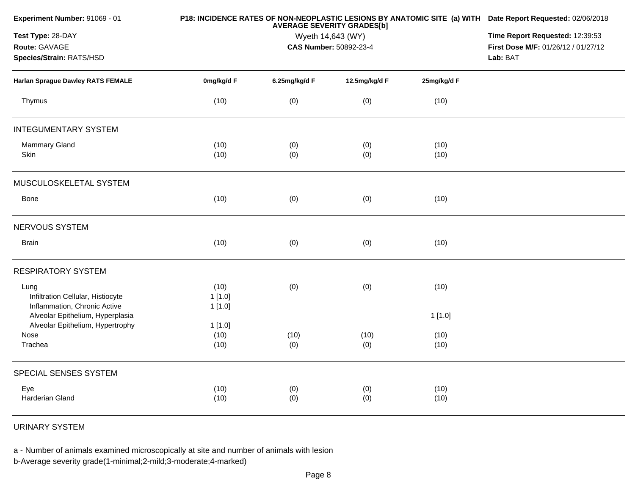| Experiment Number: 91069 - 01                                     |            | P18: INCIDENCE RATES OF NON-NEOPLASTIC LESIONS BY ANATOMIC SITE (a) WITH Date Report Requested: 02/06/2018<br><b>AVERAGE SEVERITY GRADES[b]</b> |                        |             |                                     |  |  |
|-------------------------------------------------------------------|------------|-------------------------------------------------------------------------------------------------------------------------------------------------|------------------------|-------------|-------------------------------------|--|--|
| Test Type: 28-DAY                                                 |            | Time Report Requested: 12:39:53                                                                                                                 |                        |             |                                     |  |  |
| Route: GAVAGE                                                     |            |                                                                                                                                                 | CAS Number: 50892-23-4 |             | First Dose M/F: 01/26/12 / 01/27/12 |  |  |
| Species/Strain: RATS/HSD                                          |            |                                                                                                                                                 |                        |             | Lab: BAT                            |  |  |
| Harlan Sprague Dawley RATS FEMALE                                 | 0mg/kg/d F | 6.25mg/kg/d F                                                                                                                                   | 12.5mg/kg/d F          | 25mg/kg/d F |                                     |  |  |
| Thymus                                                            | (10)       | (0)                                                                                                                                             | (0)                    | (10)        |                                     |  |  |
| <b>INTEGUMENTARY SYSTEM</b>                                       |            |                                                                                                                                                 |                        |             |                                     |  |  |
| <b>Mammary Gland</b>                                              | (10)       | (0)                                                                                                                                             | (0)                    | (10)        |                                     |  |  |
| Skin                                                              | (10)       | (0)                                                                                                                                             | (0)                    | (10)        |                                     |  |  |
| MUSCULOSKELETAL SYSTEM                                            |            |                                                                                                                                                 |                        |             |                                     |  |  |
| Bone                                                              | (10)       | (0)                                                                                                                                             | (0)                    | (10)        |                                     |  |  |
| NERVOUS SYSTEM                                                    |            |                                                                                                                                                 |                        |             |                                     |  |  |
| <b>Brain</b>                                                      | (10)       | (0)                                                                                                                                             | (0)                    | (10)        |                                     |  |  |
| <b>RESPIRATORY SYSTEM</b>                                         |            |                                                                                                                                                 |                        |             |                                     |  |  |
| Lung                                                              | (10)       | (0)                                                                                                                                             | (0)                    | (10)        |                                     |  |  |
| Infiltration Cellular, Histiocyte<br>Inflammation, Chronic Active | 1[1.0]     |                                                                                                                                                 |                        |             |                                     |  |  |
| Alveolar Epithelium, Hyperplasia                                  | 1 [1.0]    |                                                                                                                                                 |                        | 1[1.0]      |                                     |  |  |
| Alveolar Epithelium, Hypertrophy                                  | 1 [1.0]    |                                                                                                                                                 |                        |             |                                     |  |  |
| Nose                                                              | (10)       | (10)                                                                                                                                            | (10)                   | (10)        |                                     |  |  |
| Trachea                                                           | (10)       | (0)                                                                                                                                             | (0)                    | (10)        |                                     |  |  |
| SPECIAL SENSES SYSTEM                                             |            |                                                                                                                                                 |                        |             |                                     |  |  |
| Eye                                                               | (10)       | (0)                                                                                                                                             | (0)                    | (10)        |                                     |  |  |
| Harderian Gland                                                   | (10)       | (0)                                                                                                                                             | (0)                    | (10)        |                                     |  |  |
|                                                                   |            |                                                                                                                                                 |                        |             |                                     |  |  |

URINARY SYSTEM

a - Number of animals examined microscopically at site and number of animals with lesion